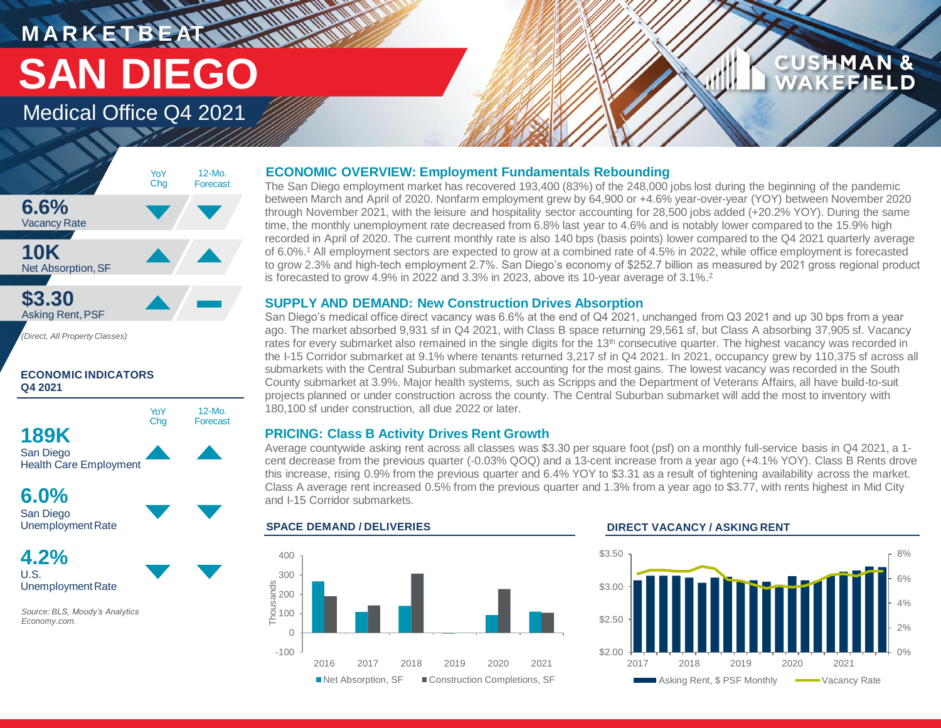# **MARKETBEAT MUNICIPAL** Medical Office Q4 2021 **SAN DIEGO**

# **CUSHMAN &** EFIELD

### **6.6%** Vacancy Rate **10K** Net Absorption, SF **\$3.30** Asking Rent,PSF 12-Mo. Forecast YoY Chg

*(Direct, All Property Classes)*

### **ECONOMIC INDICATORS Q4 2021**



**6.0%** San Diego Unemployment Rate

**4.2%** U.S. Unemployment Rate

*Source: BLS, Moody's Analytics Economy.com.*

# **ECONOMIC OVERVIEW: Employment Fundamentals Rebounding**

The San Diego employment market has recovered 193,400 (83%) of the 248,000 jobs lost during the beginning of the pandemic between March and April of 2020. Nonfarm employment grew by 64,900 or +4.6% year-over-year (YOY) between November 2020 through November 2021, with the leisure and hospitality sector accounting for 28,500 jobs added (+20.2% YOY). During the same time, the monthly unemployment rate decreased from 6.8% last year to 4.6% and is notably lower compared to the 15.9% high recorded in April of 2020. The current monthly rate is also 140 bps (basis points) lower compared to the Q4 2021 quarterly average of 6.0%.<sup>1</sup> All employment sectors are expected to grow at a combined rate of 4.5% in 2022, while office employment is forecasted to grow 2.3% and high-tech employment 2.7%. San Diego's economy of \$252.7 billion as measured by 2021 gross regional product is forecasted to grow 4.9% in 2022 and 3.3% in 2023, above its 10-year average of 3.1%.<sup>2</sup>

## **SUPPLY AND DEMAND: New Construction Drives Absorption**

San Diego's medical office direct vacancy was 6.6% at the end of Q4 2021, unchanged from Q3 2021 and up 30 bps from a year ago. The market absorbed 9,931 sf in Q4 2021, with Class B space returning 29,561 sf, but Class A absorbing 37,905 sf. Vacancy rates for every submarket also remained in the single digits for the 13<sup>th</sup> consecutive quarter. The highest vacancy was recorded in the I-15 Corridor submarket at 9.1% where tenants returned 3,217 sf in Q4 2021. In 2021, occupancy grew by 110,375 sf across all submarkets with the Central Suburban submarket accounting for the most gains. The lowest vacancy was recorded in the South County submarket at 3.9%. Major health systems, such as Scripps and the Department of Veterans Affairs, all have build-to-suit projects planned or under construction across the county. The Central Suburban submarket will add the most to inventory with 180,100 sf under construction, all due 2022 or later.

## **PRICING: Class B Activity Drives Rent Growth**

Average countywide asking rent across all classes was \$3.30 per square foot (psf) on a monthly full-service basis in Q4 2021, a 1 cent decrease from the previous quarter (-0.03% QOQ) and a 13-cent increase from a year ago (+4.1% YOY). Class B Rents drove this increase, rising 0.9% from the previous quarter and 6.4% YOY to \$3.31 as a result of tightening availability across the market. Class A average rent increased 0.5% from the previous quarter and 1.3% from a year ago to \$3.77, with rents highest in Mid City and I-15 Corridor submarkets.